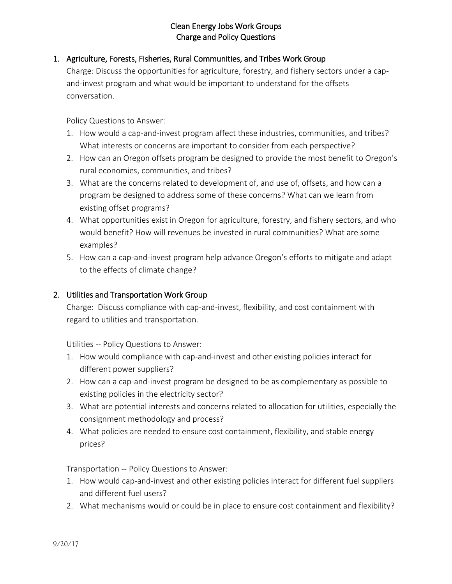## Clean Energy Jobs Work Groups Charge and Policy Questions

# 1. Agriculture, Forests, Fisheries, Rural Communities, and Tribes Work Group

Charge: Discuss the opportunities for agriculture, forestry, and fishery sectors under a capand-invest program and what would be important to understand for the offsets conversation.

Policy Questions to Answer:

- 1. How would a cap-and-invest program affect these industries, communities, and tribes? What interests or concerns are important to consider from each perspective?
- 2. How can an Oregon offsets program be designed to provide the most benefit to Oregon's rural economies, communities, and tribes?
- 3. What are the concerns related to development of, and use of, offsets, and how can a program be designed to address some of these concerns? What can we learn from existing offset programs?
- 4. What opportunities exist in Oregon for agriculture, forestry, and fishery sectors, and who would benefit? How will revenues be invested in rural communities? What are some examples?
- 5. How can a cap-and-invest program help advance Oregon's efforts to mitigate and adapt to the effects of climate change?

## 2. Utilities and Transportation Work Group

Charge: Discuss compliance with cap-and-invest, flexibility, and cost containment with regard to utilities and transportation.

Utilities -- Policy Questions to Answer:

- 1. How would compliance with cap-and-invest and other existing policies interact for different power suppliers?
- 2. How can a cap-and-invest program be designed to be as complementary as possible to existing policies in the electricity sector?
- 3. What are potential interests and concerns related to allocation for utilities, especially the consignment methodology and process?
- 4. What policies are needed to ensure cost containment, flexibility, and stable energy prices?

Transportation -- Policy Questions to Answer:

- 1. How would cap-and-invest and other existing policies interact for different fuel suppliers and different fuel users?
- 2. What mechanisms would or could be in place to ensure cost containment and flexibility?